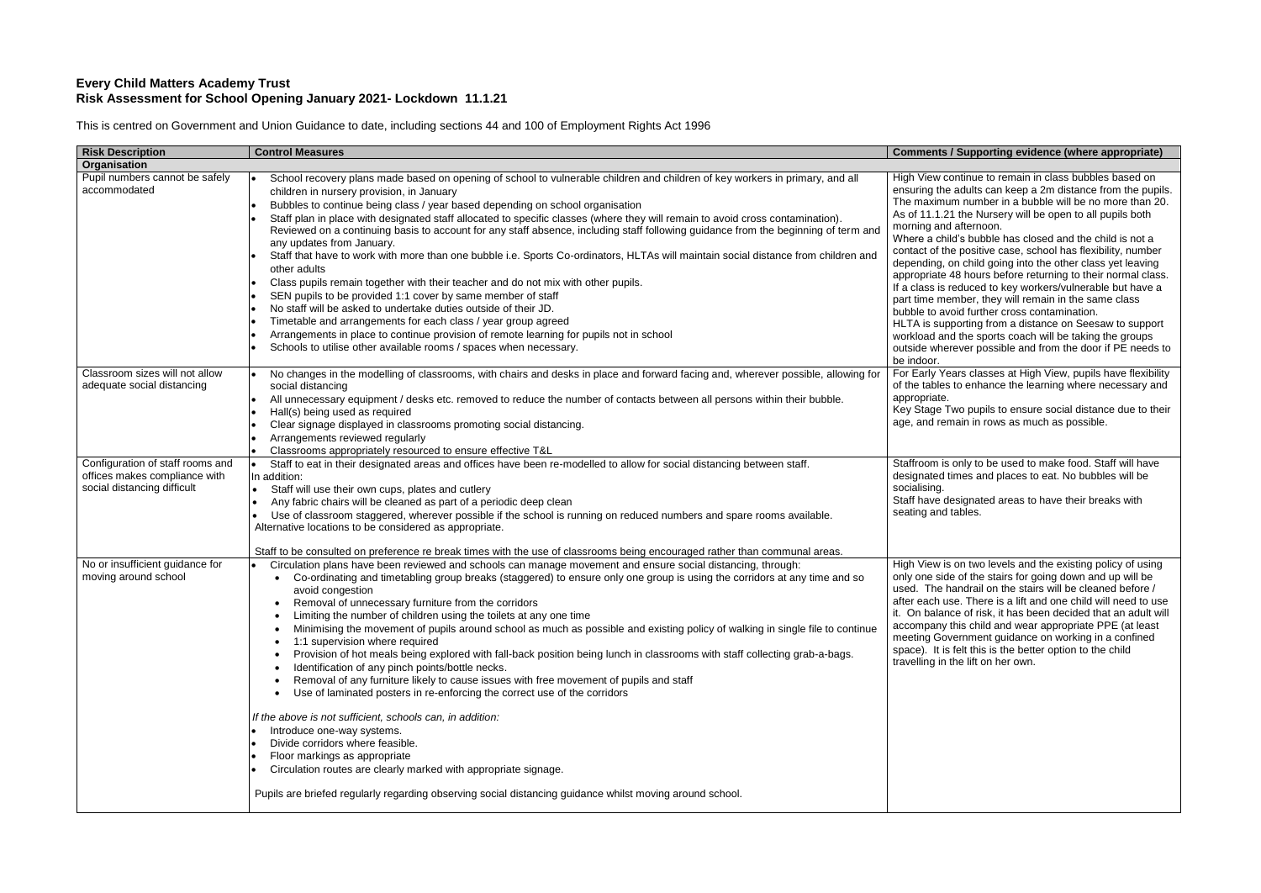# **Every Child Matters Academy Trust Risk Assessment for School Opening January 2021- Lockdown 11.1.21**

This is centred on Government and Union Guidance to date, including sections 44 and 100 of Employment Rights Act 1996

| <b>Risk Description</b>                                                                          | <b>Control Measures</b>                                                                                                                                                                                                                                                                                                                                                                                                                                                                                                                                                                                                                                                                                                                                                                                                                                                                                                                                                                                                                                                                                                                                                                                                                                             | <b>Comments /</b>                                                                                                                                                                                                                                                          |
|--------------------------------------------------------------------------------------------------|---------------------------------------------------------------------------------------------------------------------------------------------------------------------------------------------------------------------------------------------------------------------------------------------------------------------------------------------------------------------------------------------------------------------------------------------------------------------------------------------------------------------------------------------------------------------------------------------------------------------------------------------------------------------------------------------------------------------------------------------------------------------------------------------------------------------------------------------------------------------------------------------------------------------------------------------------------------------------------------------------------------------------------------------------------------------------------------------------------------------------------------------------------------------------------------------------------------------------------------------------------------------|----------------------------------------------------------------------------------------------------------------------------------------------------------------------------------------------------------------------------------------------------------------------------|
| Organisation                                                                                     |                                                                                                                                                                                                                                                                                                                                                                                                                                                                                                                                                                                                                                                                                                                                                                                                                                                                                                                                                                                                                                                                                                                                                                                                                                                                     |                                                                                                                                                                                                                                                                            |
| Pupil numbers cannot be safely<br>accommodated                                                   | School recovery plans made based on opening of school to vulnerable children and children of key workers in primary, and all<br>children in nursery provision, in January<br>Bubbles to continue being class / year based depending on school organisation<br>Staff plan in place with designated staff allocated to specific classes (where they will remain to avoid cross contamination).<br>Reviewed on a continuing basis to account for any staff absence, including staff following guidance from the beginning of term and<br>any updates from January.<br>Staff that have to work with more than one bubble i.e. Sports Co-ordinators, HLTAs will maintain social distance from children and<br>other adults<br>Class pupils remain together with their teacher and do not mix with other pupils.<br>SEN pupils to be provided 1:1 cover by same member of staff<br>No staff will be asked to undertake duties outside of their JD.<br>Timetable and arrangements for each class / year group agreed<br>Arrangements in place to continue provision of remote learning for pupils not in school<br>Schools to utilise other available rooms / spaces when necessary.                                                                                       | High View co<br>ensuring the<br>The maximur<br>As of 11.1.21<br>morning and<br>Where a child<br>contact of the<br>depending, o<br>appropriate 4<br>If a class is re<br>part time mer<br>bubble to avo<br><b>HLTA</b> is supp<br>workload and<br>outside wher<br>be indoor. |
| Classroom sizes will not allow<br>adequate social distancing                                     | No changes in the modelling of classrooms, with chairs and desks in place and forward facing and, wherever possible, allowing for<br>social distancing<br>All unnecessary equipment / desks etc. removed to reduce the number of contacts between all persons within their bubble.<br>Hall(s) being used as required<br>Clear signage displayed in classrooms promoting social distancing.<br>Arrangements reviewed regularly<br>Classrooms appropriately resourced to ensure effective T&L                                                                                                                                                                                                                                                                                                                                                                                                                                                                                                                                                                                                                                                                                                                                                                         | For Early Yea<br>of the tables<br>appropriate.<br>Key Stage Tv<br>age, and rem                                                                                                                                                                                             |
| Configuration of staff rooms and<br>offices makes compliance with<br>social distancing difficult | Staff to eat in their designated areas and offices have been re-modelled to allow for social distancing between staff.<br>In addition:<br>Staff will use their own cups, plates and cutlery<br>Any fabric chairs will be cleaned as part of a periodic deep clean<br>Use of classroom staggered, wherever possible if the school is running on reduced numbers and spare rooms available.<br>Alternative locations to be considered as appropriate.<br>Staff to be consulted on preference re break times with the use of classrooms being encouraged rather than communal areas.                                                                                                                                                                                                                                                                                                                                                                                                                                                                                                                                                                                                                                                                                   | Staffroom is<br>designated ti<br>socialising.<br>Staff have de<br>seating and t                                                                                                                                                                                            |
| No or insufficient guidance for<br>moving around school                                          | Circulation plans have been reviewed and schools can manage movement and ensure social distancing, through:<br>Co-ordinating and timetabling group breaks (staggered) to ensure only one group is using the corridors at any time and so<br>avoid congestion<br>Removal of unnecessary furniture from the corridors<br>Limiting the number of children using the toilets at any one time<br>Minimising the movement of pupils around school as much as possible and existing policy of walking in single file to continue<br>1:1 supervision where required<br>Provision of hot meals being explored with fall-back position being lunch in classrooms with staff collecting grab-a-bags.<br>Identification of any pinch points/bottle necks.<br>Removal of any furniture likely to cause issues with free movement of pupils and staff<br>Use of laminated posters in re-enforcing the correct use of the corridors<br>If the above is not sufficient, schools can, in addition:<br>Introduce one-way systems.<br>Divide corridors where feasible.<br>Floor markings as appropriate<br>Circulation routes are clearly marked with appropriate signage.<br>Pupils are briefed regularly regarding observing social distancing guidance whilst moving around school. | High View is<br>only one side<br>used. The ha<br>after each us<br>it. On baland<br>accompany t<br>meeting Gov<br>space). It is<br>travelling in t                                                                                                                          |

### **Supporting evidence (where appropriate)**

ontinue to remain in class bubbles based on adults can keep a 2m distance from the pupils. Im number in a bubble will be no more than 20. I the Nursery will be open to all pupils both afternoon.

d's bubble has closed and the child is not a e positive case, school has flexibility, number on child going into the other class yet leaving 48 hours before returning to their normal class. educed to key workers/vulnerable but have a mber, they will remain in the same class oid further cross contamination.

porting from a distance on Seesaw to support d the sports coach will be taking the groups rever possible and from the door if PE needs to

ars classes at High View, pupils have flexibility to enhance the learning where necessary and

wo pupils to ensure social distance due to their ain in rows as much as possible.

only to be used to make food. Staff will have imes and places to eat. No bubbles will be

esignated areas to have their breaks with tables.

on two levels and the existing policy of using of the stairs for going down and up will be andrail on the stairs will be cleaned before / se. There is a lift and one child will need to use ce of risk, it has been decided that an adult will this child and wear appropriate PPE (at least ernment guidance on working in a confined felt this is the better option to the child the lift on her own.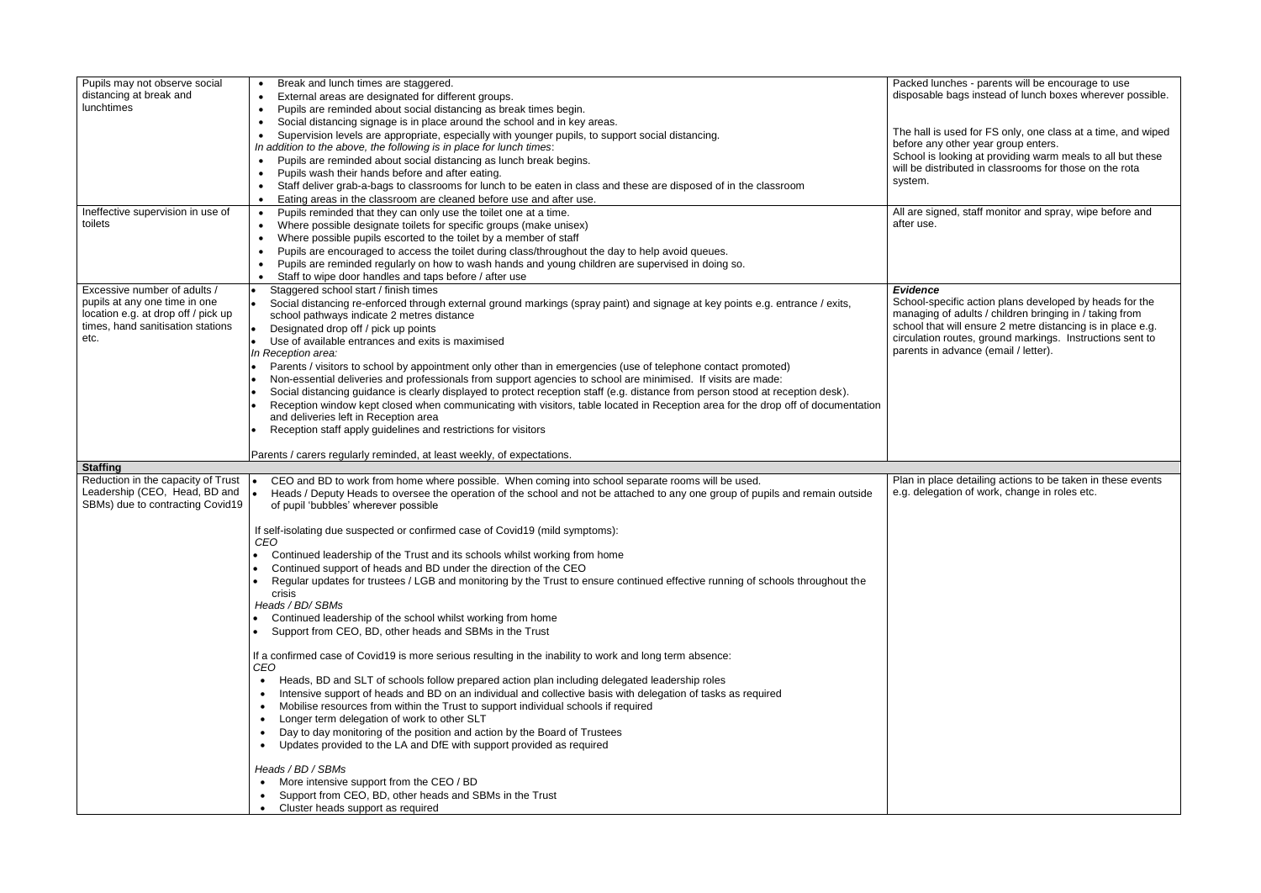| Pupils may not observe social                | Break and lunch times are staggered.                                                                                                    | Packed lunch                    |
|----------------------------------------------|-----------------------------------------------------------------------------------------------------------------------------------------|---------------------------------|
| distancing at break and                      | External areas are designated for different groups.                                                                                     | disposable b                    |
| lunchtimes                                   | Pupils are reminded about social distancing as break times begin.                                                                       |                                 |
|                                              | Social distancing signage is in place around the school and in key areas.                                                               |                                 |
|                                              | Supervision levels are appropriate, especially with younger pupils, to support social distancing.                                       | The hall is us<br>before any of |
|                                              | In addition to the above, the following is in place for lunch times:                                                                    | School is loo                   |
|                                              | Pupils are reminded about social distancing as lunch break begins.                                                                      | will be distrib                 |
|                                              | Pupils wash their hands before and after eating.                                                                                        | system.                         |
|                                              | Staff deliver grab-a-bags to classrooms for lunch to be eaten in class and these are disposed of in the classroom                       |                                 |
|                                              | Eating areas in the classroom are cleaned before use and after use.                                                                     |                                 |
| Ineffective supervision in use of<br>toilets | Pupils reminded that they can only use the toilet one at a time.                                                                        | All are signed<br>after use.    |
|                                              | Where possible designate toilets for specific groups (make unisex)<br>Where possible pupils escorted to the toilet by a member of staff |                                 |
|                                              | Pupils are encouraged to access the toilet during class/throughout the day to help avoid queues.                                        |                                 |
|                                              | Pupils are reminded regularly on how to wash hands and young children are supervised in doing so.                                       |                                 |
|                                              | Staff to wipe door handles and taps before / after use                                                                                  |                                 |
| Excessive number of adults /                 | Staggered school start / finish times                                                                                                   | <b>Evidence</b>                 |
| pupils at any one time in one                | Social distancing re-enforced through external ground markings (spray paint) and signage at key points e.g. entrance / exits,           | School-speci                    |
| location e.g. at drop off / pick up          | school pathways indicate 2 metres distance                                                                                              | managing of                     |
| times, hand sanitisation stations            | Designated drop off / pick up points                                                                                                    | school that w                   |
| etc.                                         | Use of available entrances and exits is maximised                                                                                       | circulation ro                  |
|                                              | In Reception area:                                                                                                                      | parents in ad                   |
|                                              | Parents / visitors to school by appointment only other than in emergencies (use of telephone contact promoted)                          |                                 |
|                                              | Non-essential deliveries and professionals from support agencies to school are minimised. If visits are made:                           |                                 |
|                                              | Social distancing guidance is clearly displayed to protect reception staff (e.g. distance from person stood at reception desk).         |                                 |
|                                              | Reception window kept closed when communicating with visitors, table located in Reception area for the drop off of documentation        |                                 |
|                                              | and deliveries left in Reception area                                                                                                   |                                 |
|                                              | Reception staff apply guidelines and restrictions for visitors                                                                          |                                 |
|                                              | Parents / carers regularly reminded, at least weekly, of expectations.                                                                  |                                 |
| <b>Staffing</b>                              |                                                                                                                                         |                                 |
| Reduction in the capacity of Trust           | CEO and BD to work from home where possible. When coming into school separate rooms will be used.<br>$\bullet$                          | Plan in place                   |
| Leadership (CEO, Head, BD and                | Heads / Deputy Heads to oversee the operation of the school and not be attached to any one group of pupils and remain outside           | e.g. delegatio                  |
| SBMs) due to contracting Covid19             | of pupil 'bubbles' wherever possible                                                                                                    |                                 |
|                                              |                                                                                                                                         |                                 |
|                                              |                                                                                                                                         |                                 |
|                                              | If self-isolating due suspected or confirmed case of Covid19 (mild symptoms):                                                           |                                 |
|                                              | CEO                                                                                                                                     |                                 |
|                                              | Continued leadership of the Trust and its schools whilst working from home                                                              |                                 |
|                                              | Continued support of heads and BD under the direction of the CEO                                                                        |                                 |
|                                              | Regular updates for trustees / LGB and monitoring by the Trust to ensure continued effective running of schools throughout the          |                                 |
|                                              | crisis                                                                                                                                  |                                 |
|                                              | Heads / BD/ SBMs                                                                                                                        |                                 |
|                                              | Continued leadership of the school whilst working from home                                                                             |                                 |
|                                              | Support from CEO, BD, other heads and SBMs in the Trust                                                                                 |                                 |
|                                              | If a confirmed case of Covid19 is more serious resulting in the inability to work and long term absence:                                |                                 |
|                                              | CEO                                                                                                                                     |                                 |
|                                              | Heads, BD and SLT of schools follow prepared action plan including delegated leadership roles                                           |                                 |
|                                              | Intensive support of heads and BD on an individual and collective basis with delegation of tasks as required                            |                                 |
|                                              | Mobilise resources from within the Trust to support individual schools if required<br>$\bullet$                                         |                                 |
|                                              | Longer term delegation of work to other SLT<br>$\bullet$                                                                                |                                 |
|                                              | Day to day monitoring of the position and action by the Board of Trustees                                                               |                                 |
|                                              | Updates provided to the LA and DfE with support provided as required<br>$\bullet$                                                       |                                 |
|                                              | Heads / BD / SBMs                                                                                                                       |                                 |
|                                              |                                                                                                                                         |                                 |
|                                              | More intensive support from the CEO / BD<br>Support from CEO, BD, other heads and SBMs in the Trust                                     |                                 |

Packed lunches - parents will be encourage to use disposable bags instead of lunch boxes wherever possible. sed for FS only, one class at a time, and wiped before any other year group enters. School is looking at providing warm meals to all but these buted in classrooms for those on the rota ed, staff monitor and spray, wipe before and School-specific action plans developed by heads for the managing of adults / children bringing in / taking from school that will ensure 2 metre distancing is in place e.g. circulation routes, ground markings. Instructions sent to parents in advance (email / letter). Plan in place detailing actions to be taken in these events e.g. delegation of work, change in roles etc.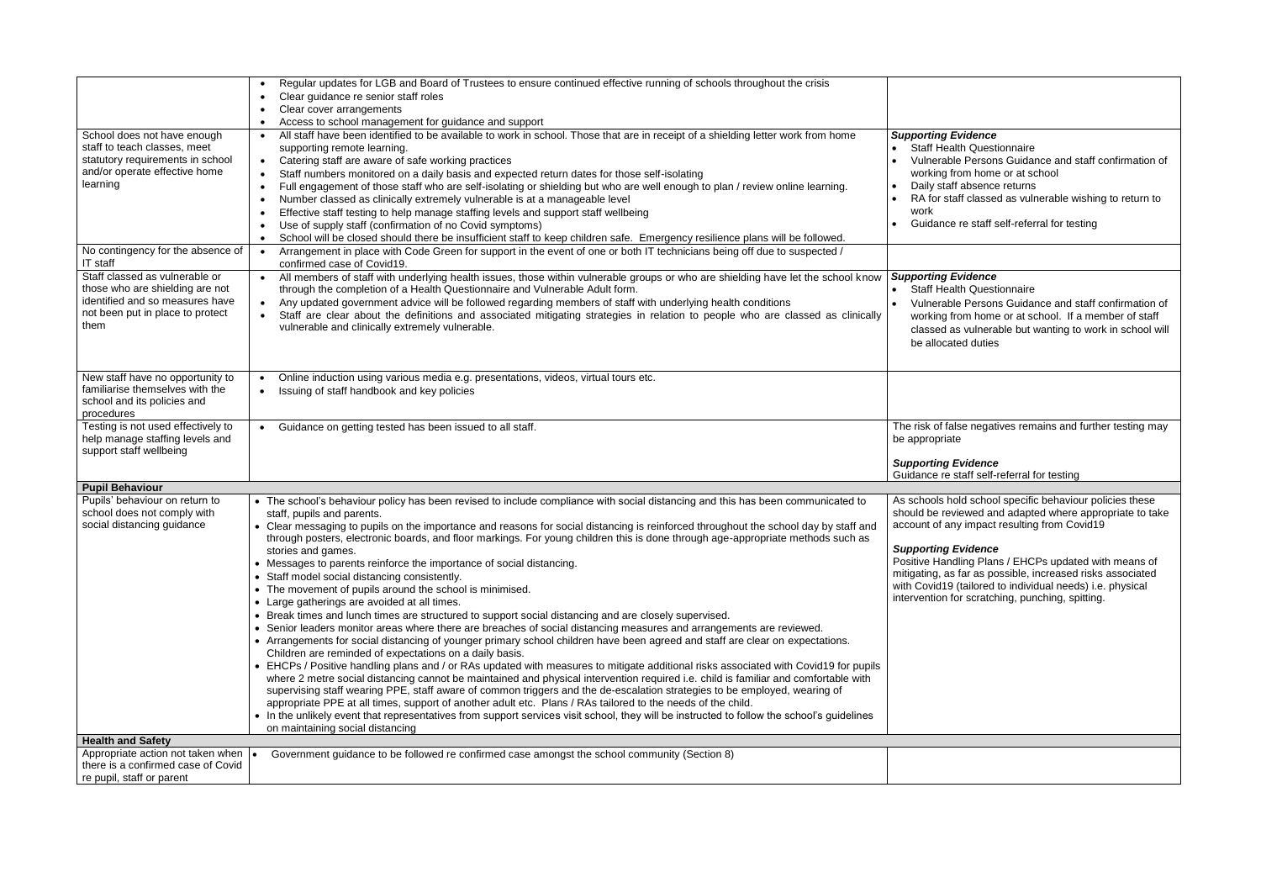## *Supporting Evidence*

alth Questionnaire

- le Persons Guidance and staff confirmation of from home or at school
- ff absence returns
- aff classed as vulnerable wishing to return to

e re staff self-referral for testing

## *Supporting Evidence*

alth Questionnaire

le Persons Guidance and staff confirmation of from home or at school. If a member of staff as vulnerable but wanting to work in school will ted duties

alse negatives remains and further testing may  $te$ 

# Evidence

staff self-referral for testing

old school specific behaviour policies these viewed and adapted where appropriate to take ny impact resulting from Covid19 $\,$ 

### $Evidence$

Positive Handling Plans / EHCPs updated with means of mitigating, as far as possible, increased risks associated with Covid19 (tailored to individual needs) i.e. physical for scratching, punching, spitting.

|                                                                 | Regular updates for LGB and Board of Trustees to ensure continued effective running of schools throughout the crisis<br>$\bullet$             |                     |
|-----------------------------------------------------------------|-----------------------------------------------------------------------------------------------------------------------------------------------|---------------------|
|                                                                 | Clear guidance re senior staff roles<br>$\bullet$                                                                                             |                     |
|                                                                 | Clear cover arrangements                                                                                                                      |                     |
|                                                                 | Access to school management for guidance and support<br>$\bullet$                                                                             |                     |
| School does not have enough                                     | All staff have been identified to be available to work in school. Those that are in receipt of a shielding letter work from home<br>$\bullet$ | <b>Supporting L</b> |
| staff to teach classes, meet                                    | supporting remote learning.                                                                                                                   | Staff Hea           |
| statutory requirements in school                                | Catering staff are aware of safe working practices<br>$\bullet$                                                                               | Vulnerab            |
| and/or operate effective home                                   |                                                                                                                                               |                     |
| learning                                                        | Staff numbers monitored on a daily basis and expected return dates for those self-isolating<br>$\bullet$                                      | working f           |
|                                                                 | Full engagement of those staff who are self-isolating or shielding but who are well enough to plan / review online learning.<br>$\bullet$     | Daily staf          |
|                                                                 | Number classed as clinically extremely vulnerable is at a manageable level<br>$\bullet$                                                       | RA for sta          |
|                                                                 | Effective staff testing to help manage staffing levels and support staff wellbeing<br>$\bullet$                                               | work                |
|                                                                 | Use of supply staff (confirmation of no Covid symptoms)<br>$\bullet$                                                                          | Guidance            |
|                                                                 | School will be closed should there be insufficient staff to keep children safe. Emergency resilience plans will be followed.<br>$\bullet$     |                     |
| No contingency for the absence of                               | Arrangement in place with Code Green for support in the event of one or both IT technicians being off due to suspected /<br>$\bullet$         |                     |
| IT staff                                                        | confirmed case of Covid19.                                                                                                                    |                     |
| Staff classed as vulnerable or                                  | All members of staff with underlying health issues, those within vulnerable groups or who are shielding have let the school know<br>$\bullet$ | <b>Supporting L</b> |
| those who are shielding are not                                 |                                                                                                                                               | Staff Hea           |
| identified and so measures have                                 | through the completion of a Health Questionnaire and Vulnerable Adult form.                                                                   |                     |
|                                                                 | Any updated government advice will be followed regarding members of staff with underlying health conditions<br>$\bullet$                      | Vulnerab            |
| not been put in place to protect                                | Staff are clear about the definitions and associated mitigating strategies in relation to people who are classed as clinically<br>$\bullet$   | working f           |
| them                                                            | vulnerable and clinically extremely vulnerable.                                                                                               | classed a           |
|                                                                 |                                                                                                                                               | be allocat          |
|                                                                 |                                                                                                                                               |                     |
|                                                                 |                                                                                                                                               |                     |
| New staff have no opportunity to                                | Online induction using various media e.g. presentations, videos, virtual tours etc.<br>$\bullet$                                              |                     |
| familiarise themselves with the                                 | Issuing of staff handbook and key policies<br>$\bullet$                                                                                       |                     |
| school and its policies and                                     |                                                                                                                                               |                     |
| procedures                                                      |                                                                                                                                               |                     |
| Testing is not used effectively to                              | Guidance on getting tested has been issued to all staff.<br>$\bullet$                                                                         | The risk of fa      |
| help manage staffing levels and                                 |                                                                                                                                               | be appropriat       |
| support staff wellbeing                                         |                                                                                                                                               |                     |
|                                                                 |                                                                                                                                               | Supporting          |
|                                                                 |                                                                                                                                               | Guidance re         |
| <b>Pupil Behaviour</b>                                          |                                                                                                                                               |                     |
| Pupils' behaviour on return to                                  | • The school's behaviour policy has been revised to include compliance with social distancing and this has been communicated to               | As schools he       |
| school does not comply with                                     |                                                                                                                                               | should be rev       |
|                                                                 | staff, pupils and parents.                                                                                                                    |                     |
| social distancing guidance                                      | • Clear messaging to pupils on the importance and reasons for social distancing is reinforced throughout the school day by staff and          | account of ar       |
|                                                                 | through posters, electronic boards, and floor markings. For young children this is done through age-appropriate methods such as               |                     |
|                                                                 | stories and games.                                                                                                                            | Supporting          |
|                                                                 | • Messages to parents reinforce the importance of social distancing.                                                                          | Positive Hand       |
|                                                                 | • Staff model social distancing consistently.                                                                                                 | mitigating, as      |
|                                                                 | • The movement of pupils around the school is minimised.                                                                                      | with Covid19        |
|                                                                 | • Large gatherings are avoided at all times.                                                                                                  | intervention f      |
|                                                                 | • Break times and lunch times are structured to support social distancing and are closely supervised.                                         |                     |
|                                                                 | • Senior leaders monitor areas where there are breaches of social distancing measures and arrangements are reviewed.                          |                     |
|                                                                 | • Arrangements for social distancing of younger primary school children have been agreed and staff are clear on expectations.                 |                     |
|                                                                 |                                                                                                                                               |                     |
|                                                                 | Children are reminded of expectations on a daily basis.                                                                                       |                     |
|                                                                 | • EHCPs / Positive handling plans and / or RAs updated with measures to mitigate additional risks associated with Covid19 for pupils          |                     |
|                                                                 | where 2 metre social distancing cannot be maintained and physical intervention required i.e. child is familiar and comfortable with           |                     |
|                                                                 | supervising staff wearing PPE, staff aware of common triggers and the de-escalation strategies to be employed, wearing of                     |                     |
|                                                                 |                                                                                                                                               |                     |
|                                                                 | appropriate PPE at all times, support of another adult etc. Plans / RAs tailored to the needs of the child.                                   |                     |
|                                                                 | • In the unlikely event that representatives from support services visit school, they will be instructed to follow the school's guidelines    |                     |
|                                                                 | on maintaining social distancing                                                                                                              |                     |
| <b>Health and Safety</b>                                        |                                                                                                                                               |                     |
| Appropriate action not taken when  .                            | Government guidance to be followed re confirmed case amongst the school community (Section 8)                                                 |                     |
| there is a confirmed case of Covid<br>re pupil, staff or parent |                                                                                                                                               |                     |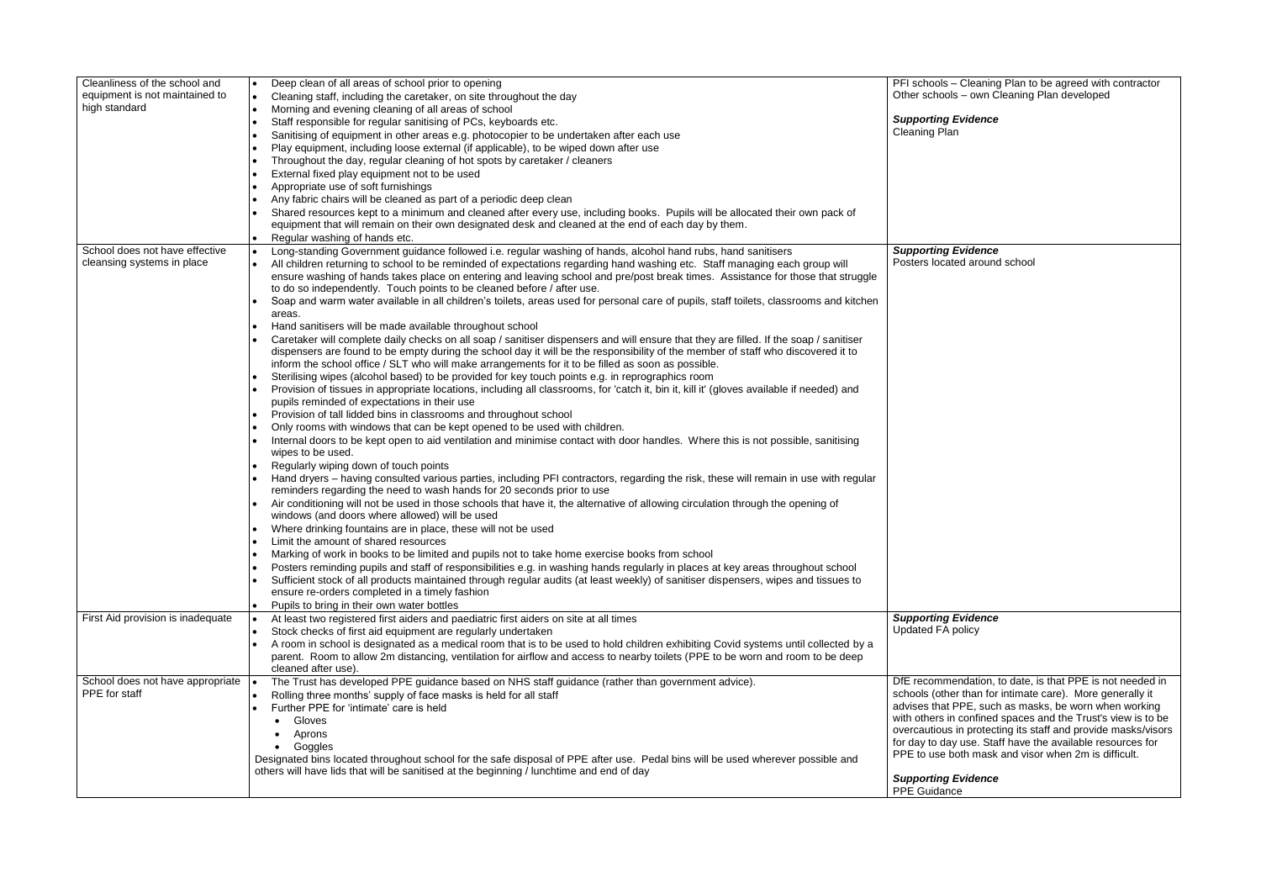PFI schools – Cleaning Plan to be agreed with contractor Other schools – own Cleaning Plan developed

> *<i>Fvidence* an

*Supporting Evidence* ated around school

*Supporting Evidence*  $\Omega$  policy

| Cleanliness of the school and<br>equipment is not maintained to | Deep clean of all areas of school prior to opening<br>$\bullet$                                                                           | PFI schools -       |
|-----------------------------------------------------------------|-------------------------------------------------------------------------------------------------------------------------------------------|---------------------|
| high standard                                                   | Cleaning staff, including the caretaker, on site throughout the day<br>$\bullet$                                                          | Other school        |
|                                                                 | Morning and evening cleaning of all areas of school<br>$\bullet$                                                                          | <b>Supporting</b>   |
|                                                                 | Staff responsible for regular sanitising of PCs, keyboards etc.<br>$\bullet$                                                              | <b>Cleaning Pla</b> |
|                                                                 | Sanitising of equipment in other areas e.g. photocopier to be undertaken after each use                                                   |                     |
|                                                                 | Play equipment, including loose external (if applicable), to be wiped down after use                                                      |                     |
|                                                                 | Throughout the day, regular cleaning of hot spots by caretaker / cleaners                                                                 |                     |
|                                                                 | External fixed play equipment not to be used                                                                                              |                     |
|                                                                 | Appropriate use of soft furnishings                                                                                                       |                     |
|                                                                 | Any fabric chairs will be cleaned as part of a periodic deep clean                                                                        |                     |
|                                                                 | Shared resources kept to a minimum and cleaned after every use, including books. Pupils will be allocated their own pack of               |                     |
|                                                                 | equipment that will remain on their own designated desk and cleaned at the end of each day by them.                                       |                     |
|                                                                 | Regular washing of hands etc.<br>$\bullet$                                                                                                |                     |
| School does not have effective                                  | Long-standing Government guidance followed i.e. regular washing of hands, alcohol hand rubs, hand sanitisers<br>$\bullet$                 | <b>Supporting</b>   |
| cleansing systems in place                                      | All children returning to school to be reminded of expectations regarding hand washing etc. Staff managing each group will                | Posters locat       |
|                                                                 | ensure washing of hands takes place on entering and leaving school and pre/post break times. Assistance for those that struggle           |                     |
|                                                                 | to do so independently. Touch points to be cleaned before / after use.                                                                    |                     |
|                                                                 | Soap and warm water available in all children's toilets, areas used for personal care of pupils, staff toilets, classrooms and kitchen    |                     |
|                                                                 | areas.                                                                                                                                    |                     |
|                                                                 | Hand sanitisers will be made available throughout school                                                                                  |                     |
|                                                                 | Caretaker will complete daily checks on all soap / sanitiser dispensers and will ensure that they are filled. If the soap / sanitiser     |                     |
|                                                                 | dispensers are found to be empty during the school day it will be the responsibility of the member of staff who discovered it to          |                     |
|                                                                 | inform the school office / SLT who will make arrangements for it to be filled as soon as possible.                                        |                     |
|                                                                 | Sterilising wipes (alcohol based) to be provided for key touch points e.g. in reprographics room                                          |                     |
|                                                                 | Provision of tissues in appropriate locations, including all classrooms, for 'catch it, bin it, kill it' (gloves available if needed) and |                     |
|                                                                 | pupils reminded of expectations in their use                                                                                              |                     |
|                                                                 | Provision of tall lidded bins in classrooms and throughout school                                                                         |                     |
|                                                                 |                                                                                                                                           |                     |
|                                                                 | Only rooms with windows that can be kept opened to be used with children.                                                                 |                     |
|                                                                 | Internal doors to be kept open to aid ventilation and minimise contact with door handles. Where this is not possible, sanitising          |                     |
|                                                                 | wipes to be used.                                                                                                                         |                     |
|                                                                 | Regularly wiping down of touch points                                                                                                     |                     |
|                                                                 | Hand dryers - having consulted various parties, including PFI contractors, regarding the risk, these will remain in use with regular      |                     |
|                                                                 | reminders regarding the need to wash hands for 20 seconds prior to use                                                                    |                     |
|                                                                 | Air conditioning will not be used in those schools that have it, the alternative of allowing circulation through the opening of           |                     |
|                                                                 | windows (and doors where allowed) will be used                                                                                            |                     |
|                                                                 | Where drinking fountains are in place, these will not be used                                                                             |                     |
|                                                                 | Limit the amount of shared resources<br>$\bullet$                                                                                         |                     |
|                                                                 | Marking of work in books to be limited and pupils not to take home exercise books from school<br>$\bullet$                                |                     |
|                                                                 | Posters reminding pupils and staff of responsibilities e.g. in washing hands regularly in places at key areas throughout school           |                     |
|                                                                 | Sufficient stock of all products maintained through regular audits (at least weekly) of sanitiser dispensers, wipes and tissues to        |                     |
|                                                                 | ensure re-orders completed in a timely fashion                                                                                            |                     |
|                                                                 | Pupils to bring in their own water bottles                                                                                                |                     |
| First Aid provision is inadequate                               | At least two registered first aiders and paediatric first aiders on site at all times                                                     | <b>Supporting</b>   |
|                                                                 | Stock checks of first aid equipment are regularly undertaken                                                                              | <b>Updated FA</b>   |
|                                                                 | A room in school is designated as a medical room that is to be used to hold children exhibiting Covid systems until collected by a        |                     |
|                                                                 | parent. Room to allow 2m distancing, ventilation for airflow and access to nearby toilets (PPE to be worn and room to be deep             |                     |
|                                                                 | cleaned after use).                                                                                                                       |                     |
| School does not have appropriate                                | The Trust has developed PPE guidance based on NHS staff guidance (rather than government advice).                                         | DfE recomm          |
| PPE for staff                                                   | Rolling three months' supply of face masks is held for all staff                                                                          | schools (othe       |
|                                                                 | Further PPE for 'intimate' care is held                                                                                                   | advises that        |
|                                                                 |                                                                                                                                           | with others in      |
|                                                                 | Gloves                                                                                                                                    | overcautious        |
|                                                                 | Aprons                                                                                                                                    | for day to da       |
|                                                                 | Goggles                                                                                                                                   | PPE to use b        |
|                                                                 | Designated bins located throughout school for the safe disposal of PPE after use. Pedal bins will be used wherever possible and           |                     |
|                                                                 | others will have lids that will be sanitised at the beginning / lunchtime and end of day                                                  | <b>Supporting</b>   |
|                                                                 |                                                                                                                                           | PPE Guidan          |
|                                                                 |                                                                                                                                           |                     |

DfE recommendation, to date, is that PPE is not needed in schools (other than for intimate care). More generally it advises that PPE, such as masks, be worn when working with others in confined spaces and the Trust's view is to be overcautious in protecting its staff and provide masks/visors for day to day use. Staff have the available resources for both mask and visor when 2m is difficult.

*<i>Evidence* 

ice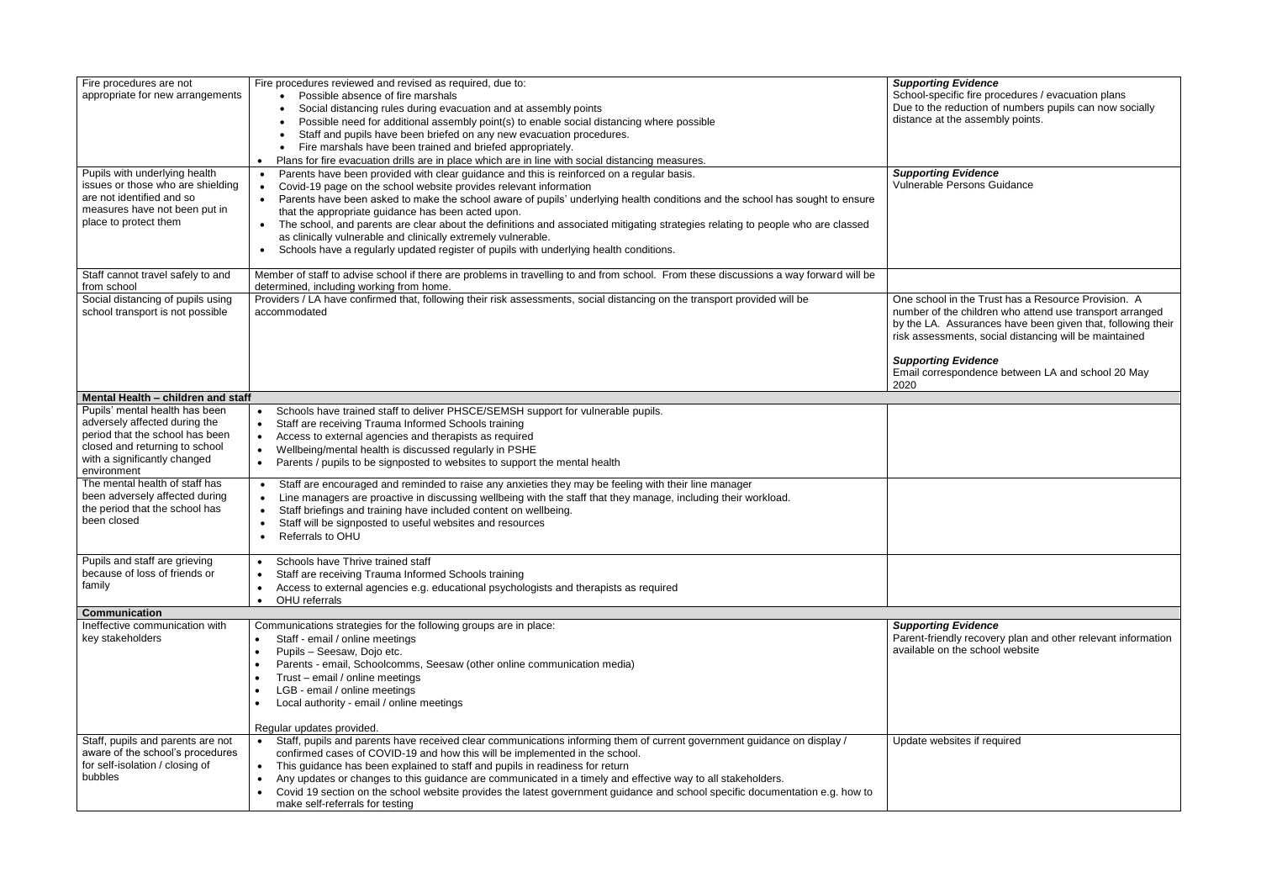| <b>Supporting Evidence</b>                                                                  |
|---------------------------------------------------------------------------------------------|
| School-specific fire procedures / evacuation plans                                          |
| Due to the reduction of numbers pupils can now socially<br>distance at the assembly points. |

*Supporting Evidence* .<br>Persons Guidance

One school in the Trust has a Resource Provision. A number of the children who attend use transport arranged by the LA. Assurances have been given that, following their ments, social distancing will be maintained

### *<i>Fvidence*

spondence between LA and school 20 May

*<i><u>Evidence</u>* 

| Fire procedures are not<br>appropriate for new arrangements                                                                                                                         | Fire procedures reviewed and revised as required, due to:<br>Possible absence of fire marshals<br>Social distancing rules during evacuation and at assembly points<br>Possible need for additional assembly point(s) to enable social distancing where possible<br>Staff and pupils have been briefed on any new evacuation procedures.<br>Fire marshals have been trained and briefed appropriately.<br>Plans for fire evacuation drills are in place which are in line with social distancing measures.<br>$\bullet$                                                                                                                                          | <b>Supporting Evidence</b><br>School-specific fire pro<br>Due to the reduction of<br>distance at the asseml |
|-------------------------------------------------------------------------------------------------------------------------------------------------------------------------------------|-----------------------------------------------------------------------------------------------------------------------------------------------------------------------------------------------------------------------------------------------------------------------------------------------------------------------------------------------------------------------------------------------------------------------------------------------------------------------------------------------------------------------------------------------------------------------------------------------------------------------------------------------------------------|-------------------------------------------------------------------------------------------------------------|
| Pupils with underlying health<br>issues or those who are shielding<br>are not identified and so<br>measures have not been put in<br>place to protect them                           | Parents have been provided with clear guidance and this is reinforced on a regular basis.<br>$\bullet$<br>Covid-19 page on the school website provides relevant information<br>Parents have been asked to make the school aware of pupils' underlying health conditions and the school has sought to ensure<br>that the appropriate guidance has been acted upon.<br>The school, and parents are clear about the definitions and associated mitigating strategies relating to people who are classed<br>as clinically vulnerable and clinically extremely vulnerable.<br>Schools have a regularly updated register of pupils with underlying health conditions. | <b>Supporting Evidence</b><br>Vulnerable Persons G                                                          |
| Staff cannot travel safely to and<br>from school                                                                                                                                    | Member of staff to advise school if there are problems in travelling to and from school. From these discussions a way forward will be<br>determined, including working from home.                                                                                                                                                                                                                                                                                                                                                                                                                                                                               |                                                                                                             |
| Social distancing of pupils using<br>school transport is not possible                                                                                                               | Providers / LA have confirmed that, following their risk assessments, social distancing on the transport provided will be<br>accommodated                                                                                                                                                                                                                                                                                                                                                                                                                                                                                                                       | One school in the Trus<br>number of the children<br>by the LA. Assurance:<br>risk assessments, soc          |
|                                                                                                                                                                                     |                                                                                                                                                                                                                                                                                                                                                                                                                                                                                                                                                                                                                                                                 | <b>Supporting Evidence</b><br>Email correspondence<br>2020                                                  |
| Mental Health - children and staff                                                                                                                                                  |                                                                                                                                                                                                                                                                                                                                                                                                                                                                                                                                                                                                                                                                 |                                                                                                             |
| Pupils' mental health has been<br>adversely affected during the<br>period that the school has been<br>closed and returning to school<br>with a significantly changed<br>environment | Schools have trained staff to deliver PHSCE/SEMSH support for vulnerable pupils.<br>$\bullet$<br>Staff are receiving Trauma Informed Schools training<br>$\bullet$<br>Access to external agencies and therapists as required<br>Wellbeing/mental health is discussed regularly in PSHE<br>$\bullet$<br>Parents / pupils to be signposted to websites to support the mental health<br>$\bullet$                                                                                                                                                                                                                                                                  |                                                                                                             |
| The mental health of staff has<br>been adversely affected during<br>the period that the school has<br>been closed                                                                   | Staff are encouraged and reminded to raise any anxieties they may be feeling with their line manager<br>$\bullet$<br>Line managers are proactive in discussing wellbeing with the staff that they manage, including their workload.<br>Staff briefings and training have included content on wellbeing.<br>Staff will be signposted to useful websites and resources<br>Referrals to OHU                                                                                                                                                                                                                                                                        |                                                                                                             |
| Pupils and staff are grieving<br>because of loss of friends or<br>family                                                                                                            | Schools have Thrive trained staff<br>Staff are receiving Trauma Informed Schools training<br>$\bullet$<br>Access to external agencies e.g. educational psychologists and therapists as required<br>$\bullet$<br>OHU referrals                                                                                                                                                                                                                                                                                                                                                                                                                                   |                                                                                                             |
| <b>Communication</b>                                                                                                                                                                |                                                                                                                                                                                                                                                                                                                                                                                                                                                                                                                                                                                                                                                                 |                                                                                                             |
| Ineffective communication with<br>key stakeholders                                                                                                                                  | Communications strategies for the following groups are in place:<br>Staff - email / online meetings<br>Pupils - Seesaw, Dojo etc.<br>$\bullet$<br>Parents - email, Schoolcomms, Seesaw (other online communication media)<br>Trust - email / online meetings<br>LGB - email / online meetings<br>Local authority - email / online meetings<br>Regular updates provided.                                                                                                                                                                                                                                                                                         | <b>Supporting Evidence</b><br>Parent-friendly recove<br>available on the schoo                              |
| Staff, pupils and parents are not<br>aware of the school's procedures<br>for self-isolation / closing of<br>bubbles                                                                 | Staff, pupils and parents have received clear communications informing them of current government guidance on display /<br>confirmed cases of COVID-19 and how this will be implemented in the school.<br>This guidance has been explained to staff and pupils in readiness for return<br>$\bullet$<br>Any updates or changes to this guidance are communicated in a timely and effective way to all stakeholders.<br>Covid 19 section on the school website provides the latest government guidance and school specific documentation e.g. how to<br>make self-referrals for testing                                                                           | Update websites if req                                                                                      |

Parent-friendly recovery plan and other relevant information available on the school website

bsites if required